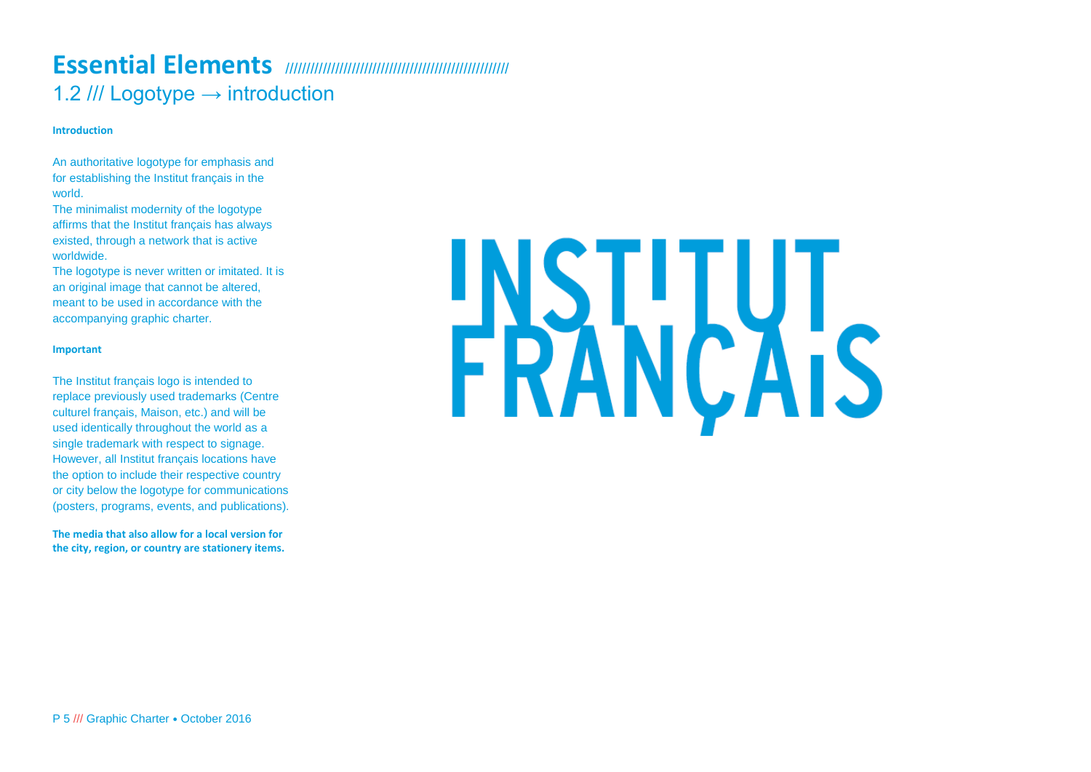## **Essential Elements** ////////////////////////////////////////////////////// 1.2 /// Logotype  $\rightarrow$  introduction

### **Introduction**

An authoritative logotype for emphasis and for establishing the Institut français in the world.

The minimalist modernity of the logotype affirms that the Institut français has always existed, through a network that is active worldwide.

The logotype is never written or imitated. It is an original image that cannot be altered, meant to be used in accordance with the accompanying graphic charter.

### **Important**

The Institut français logo is intended to replace previously used trademarks (Centre culturel français, Maison, etc.) and will be used identically throughout the world as a single trademark with respect to signage. However, all Institut français locations have the option to include their respective country or city below the logotype for communications (posters, programs, events, and publications).

**The media that also allow for a local version for the city, region, or country are stationery items.**

# **ERANÇAIS**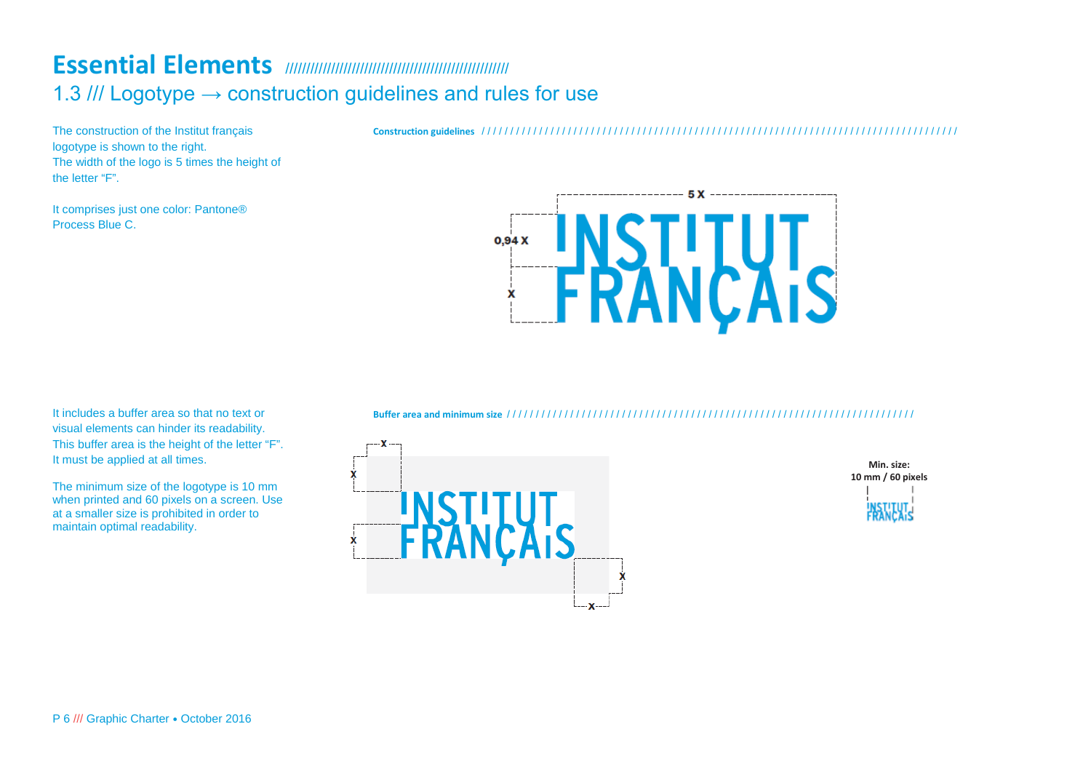### **Essential Elements** ////////////////////////////////////////////////////// 1.3 /// Logotype  $\rightarrow$  construction guidelines and rules for use

The construction of the Institut français logotype is shown to the right. The width of the logo is 5 times the height of the letter "F".

It comprises just one color: Pantone® Process Blue C.

 $5X$  -------- $0.94X$  $\mathbf{x}$ 

It includes a buffer area so that no text or visual elements can hinder its readability. This buffer area is the height of the letter "F". It must be applied at all times.

The minimum size of the logotype is 10 mm when printed and 60 pixels on a screen. Use at a smaller size is prohibited in order to maintain optimal readability.

**Buffer area and minimum size** / / / / / / / / / / / / / / / / / / / / / / / / / / / / / / / / / / / / / / / / / / / / / / / / / / / / / / / / / / / / / / / / / / / / / / /





**Construction guidelines** / / / / / / / / / / / / / / / / / / / / / / / / / / / / / / / / / / / / / / / / / / / / / / / / / / / / / / / / / / / / / / / / / / / / / / / / / / / / / / / / / / /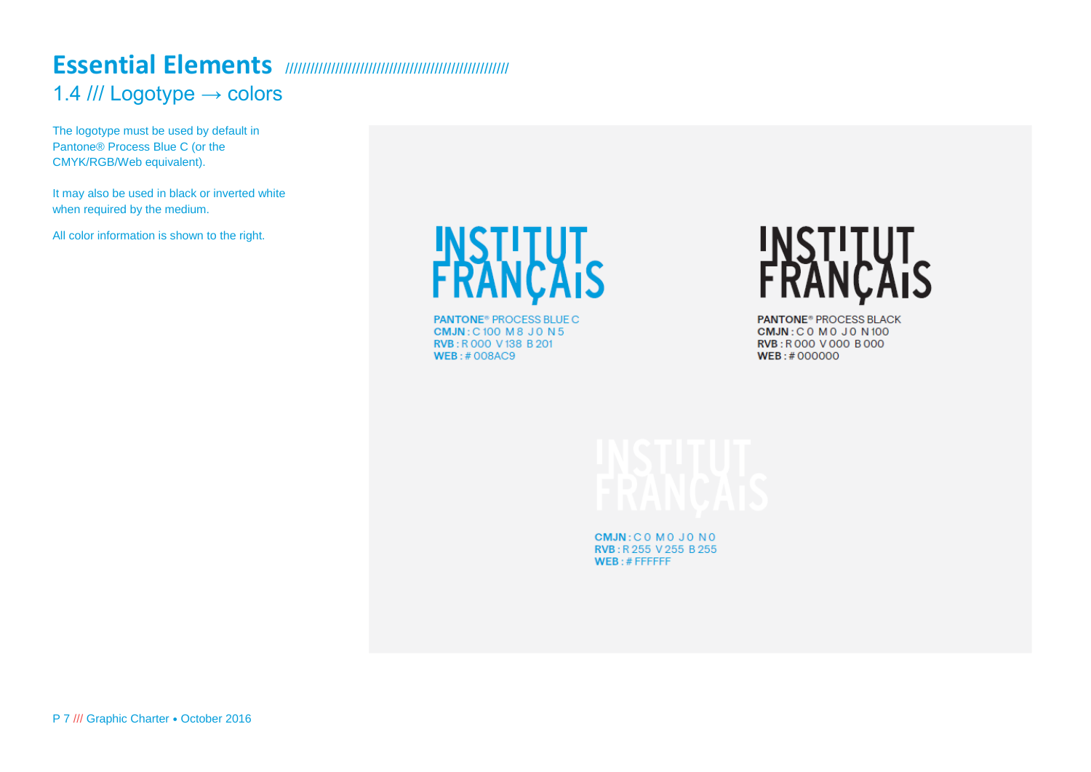### **Essential Elements** ////////////////////////////////////////////////////// 1.4 /// Logotype → colors

The logotype must be used by default in Pantone® Process Blue C (or the CMYK/RGB/Web equivalent).

It may also be used in black or inverted white when required by the medium.

All color information is shown to the right.

**INSTITUT<br>FRANÇAIS** 

**PANTONE<sup>®</sup>** PROCESS BLUE C **CMJN: C100 M8 J0 N5** RVB: R 000 V 138 B 201  $WEB: #008AC9$ 

**INSTITUT<br>FRANÇAIS** 

**PANTONE® PROCESS BLACK CMJN: COMOJON100 RVB: R000 V000 B000** WEB:#000000

CMJN: COMOJONO RVB: R 255 V 255 B 255  $WEB: \# FFFFFF$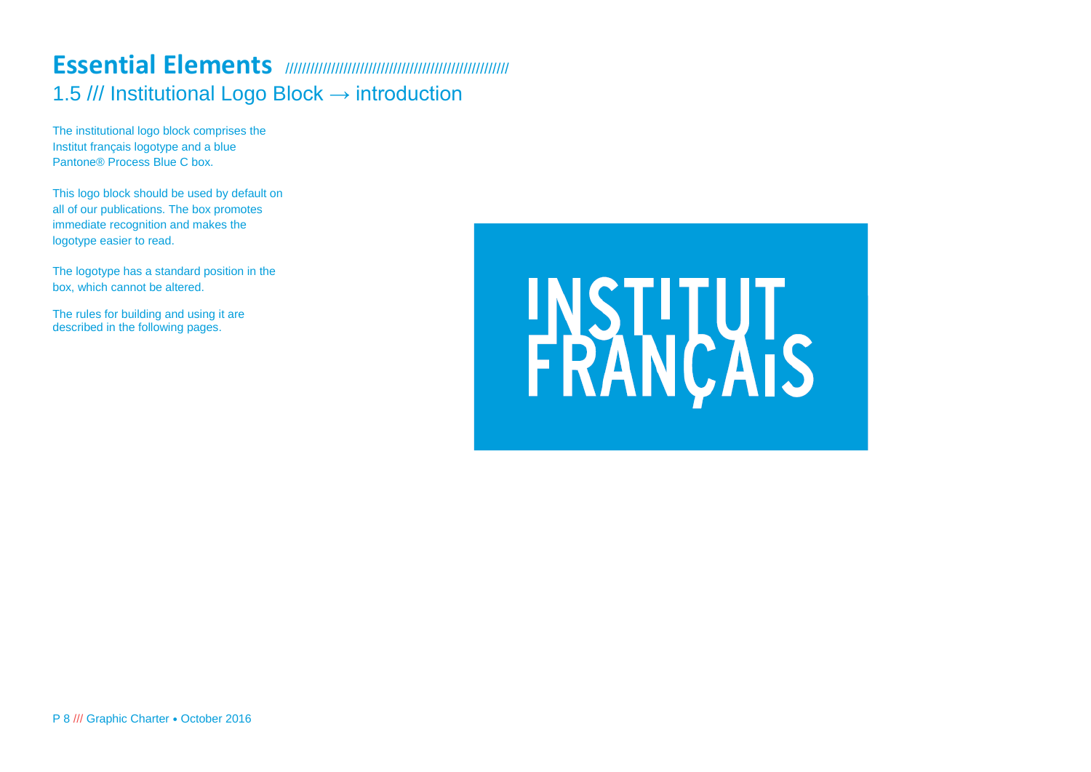### **Essential Elements** ////////////////////////////////////////////////////// 1.5 /// Institutional Logo Block → introduction

The institutional logo block comprises the Institut français logotype and a blue Pantone® Process Blue C box.

This logo block should be used by default on all of our publications. The box promotes immediate recognition and makes the logotype easier to read.

The logotype has a standard position in the box, which cannot be altered.

The rules for building and using it are described in the following pages.

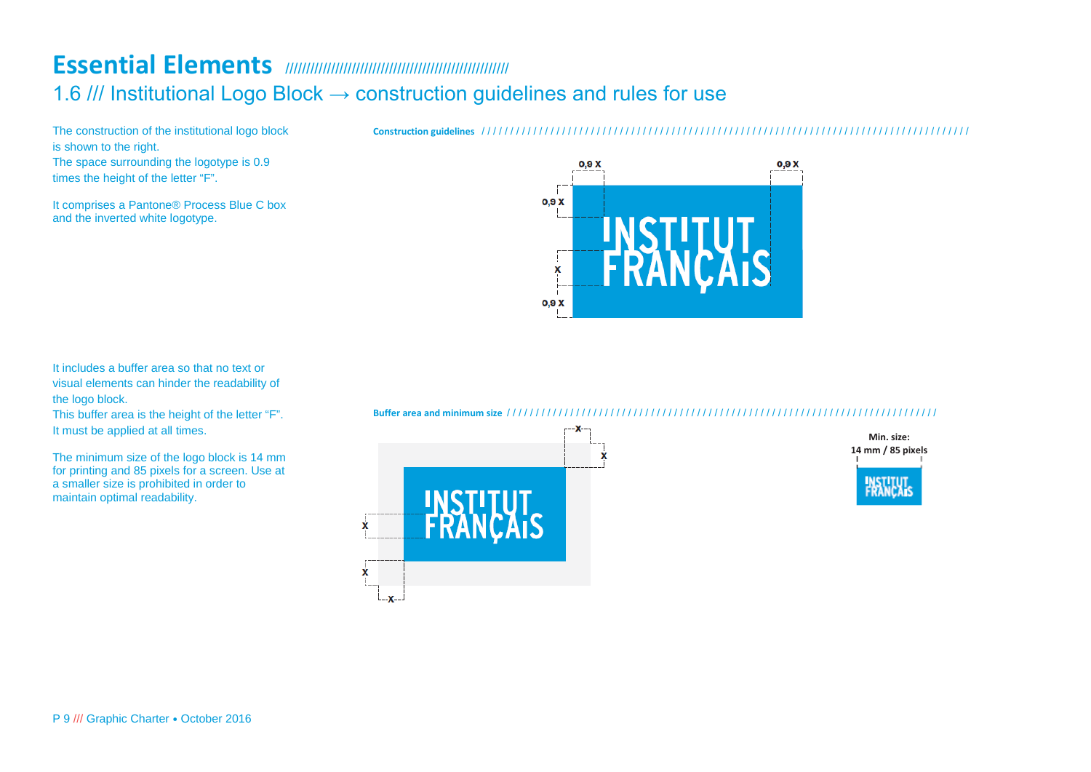# **Essential Elements** //////////////////////////////////////////////////////

1.6 /// Institutional Logo Block → construction guidelines and rules for use

The construction of the institutional logo block is shown to the right. The space surrounding the logotype is 0.9 times the height of the letter "F".

It comprises a Pantone® Process Blue C box and the inverted white logotype.

**Construction guidelines** / / / / / / / / / / / / / / / / / / / / / / / / / / / / / / / / / / / / / / / / / / / / / / / / / / / / / / / / / / / / / / / / / / / / / / / / / / / / / / / / / / / / /



It includes a buffer area so that no text or visual elements can hinder the readability of the logo block.

This buffer area is the height of the letter "F". It must be applied at all times.

The minimum size of the logo block is 14 mm for printing and 85 pixels for a screen. Use at a smaller size is prohibited in order to maintain optimal readability.

**Buffer area and minimum size** / / / / / / / / / / / / / / / / / / / / / / / / / / / / / / / / / / / / / / / / / / / / / / / / / / / / / / / / / / / / / / / / / / / / / / / / / / /



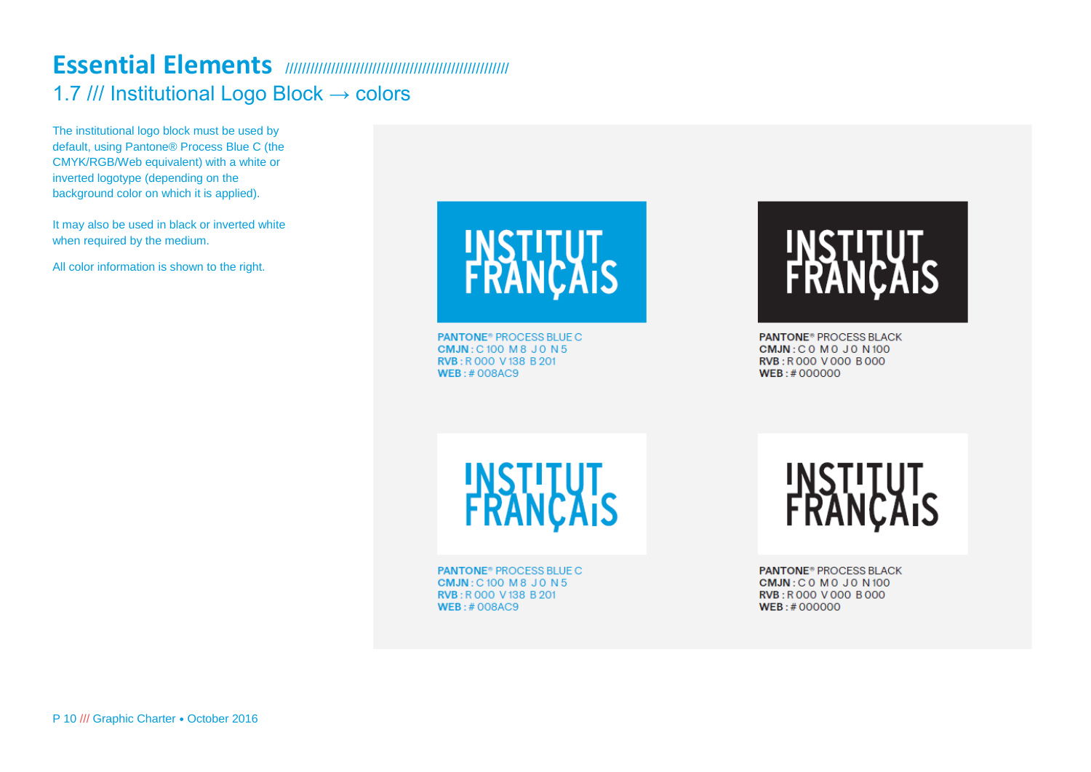### **Essential Elements** ////////////////////////////////////////////////////// 1.7 /// Institutional Logo Block → colors

The institutional logo block must be used by default, using Pantone® Process Blue C (the CMYK/RGB/Web equivalent) with a white or inverted logotype (depending on the background color on which it is applied).

It may also be used in black or inverted white when required by the medium.

All color information is shown to the right.



**PANTONE<sup>®</sup> PROCESS BLUE C CMJN: C100 M8 J0 N5** RVB: R 000 V 138 B 201  $WEB: # OOBAC9$ 

# INSILIUI<br>FRANÇAIS

**PANTONE® PROCESS BLACK CMJN: COMOJON100** RVB: R000 V000 B000  $WEB: #000000$ 

**INSTITUT<br>FRANÇAIS** 

**PANTONE<sup>®</sup> PROCESS BLUE C CMJN: C100 M8 J0 N5** RVB: R000 V138 B201  $WEB: #008AC9$ 

INSTITUT<br>FRANÇAIS

**PANTONE® PROCESS BLACK CMJN: COMOJON100** RVB: R000 V000 B000  $WEB: #000000$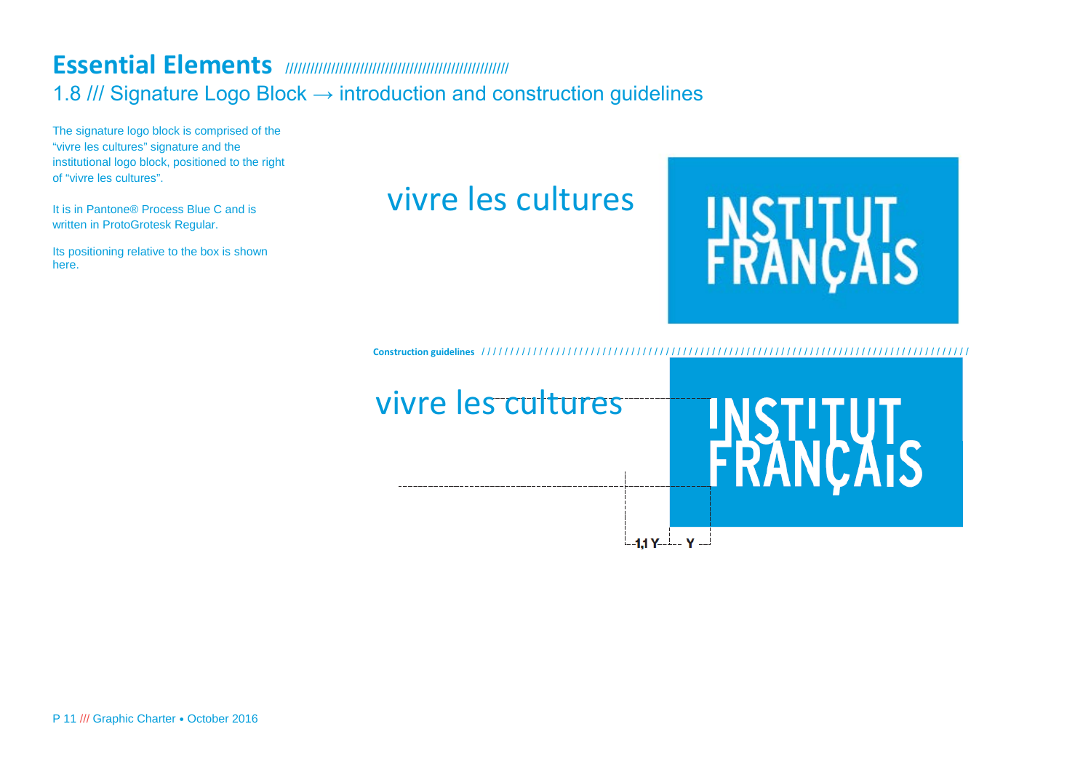### **Essential Elements** ////////////////////////////////////////////////////// 1.8 /// Signature Logo Block → introduction and construction guidelines

The signature logo block is comprised of the "vivre les cultures" signature and the institutional logo block, positioned to the right of "vivre les cultures".

It is in Pantone® Process Blue C and is written in ProtoGrotesk Regular.

Its positioning relative to the box is shown here.

# vivre les cultures



**Construction guidelines** / / / / / / / / / / / / / / / / / / / / / / / / / / / / / / / / / / / / / / / / / / / / / / / / / / / / / / / / / / / / / / / / / / / / / / / / / / / / / / / / / / / / /

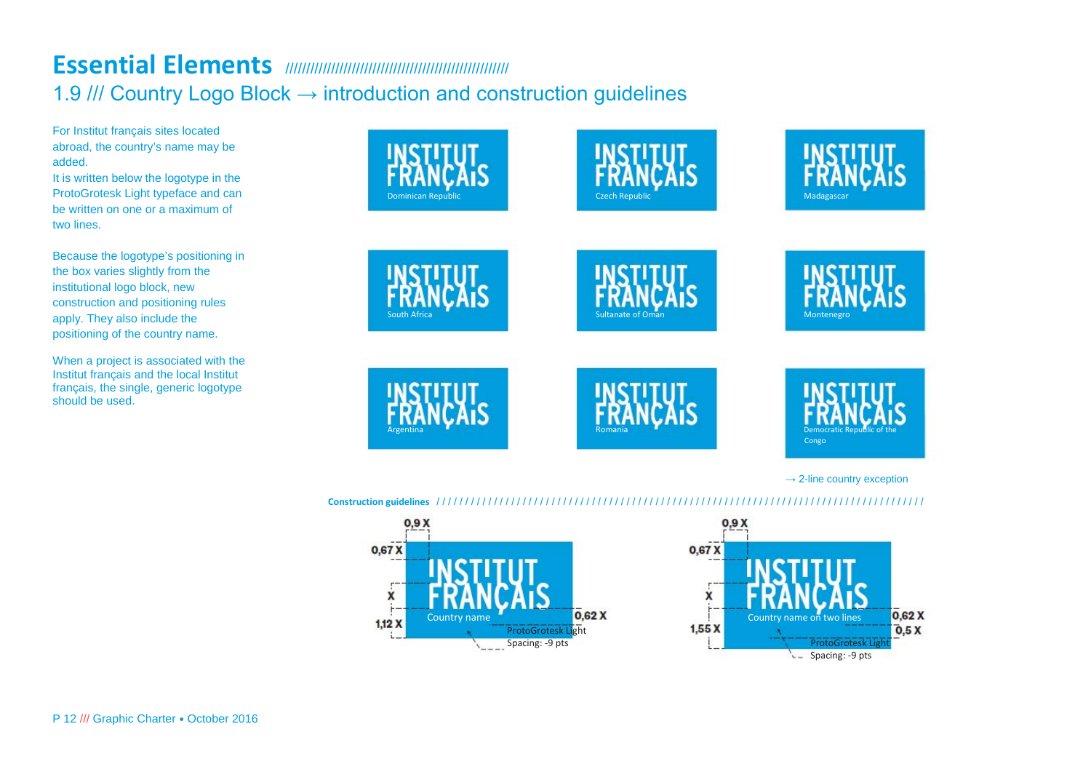# **Essential Elements** ////////////////////////////////////////////////////// 1.9 /// Country Logo Block → introduction and construction guidelines

For Institut français sites located abroad, the country's name may be added.

It is written below the logotype in the ProtoGrotesk Light typeface and can be written on one or a maximum of two lines.

Because the logotype's positioning in the box varies slightly from the institutional logo block, new construction and positioning rules apply. They also include the positioning of the country name.

When a project is associated with the Institut français and the local Institut français, the single, generic logotype should be used.



### **Construction guidelines** / / / / / / / / / / / / / / / / / / / / / / / / / / / / / / / / / / / / / / / / / / / / / / / / / / / / / / / / / / / / / / / / / / / / / / / / / / / / / / / / / / / / /

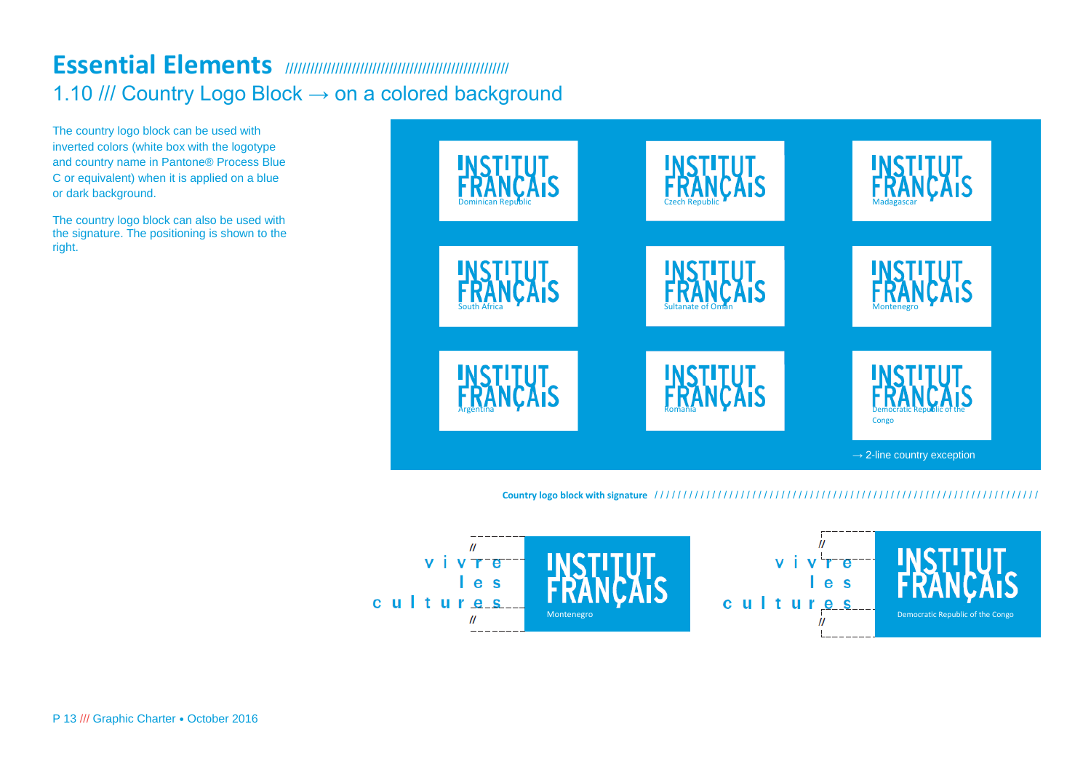# **Essential Elements** ////////////////////////////////////////////////////// 1.10 /// Country Logo Block → on a colored background

The country logo block can be used with inverted colors (white box with the logotype and country name in Pantone® Process Blue C or equivalent) when it is applied on a blue or dark background.

The country logo block can also be used with the signature. The positioning is shown to the right.



### **Country logo block with signature** / / / / / / / / / / / / / / / / / / / / / / / / / / / / / / / / / / / / / / / / / / / / / / / / / / / / / / / / / / / / / / / / / / /

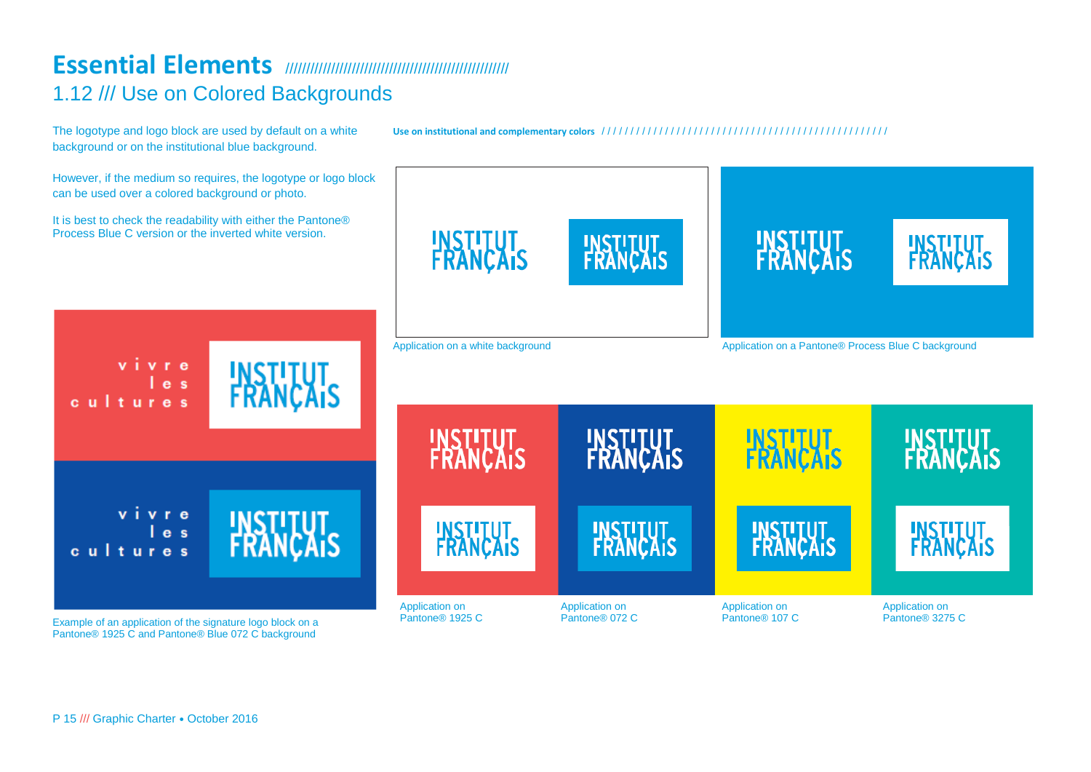## **Essential Elements** ////////////////////////////////////////////////////// 1.12 /// Use on Colored Backgrounds

The logotype and logo block are used by default on a white background or on the institutional blue background.

**Use on institutional and complementary colors** / / / / / / / / / / / / / / / / / / / / / / / / / / / / / / / / / / / / / / / / / / / / / / / / / /